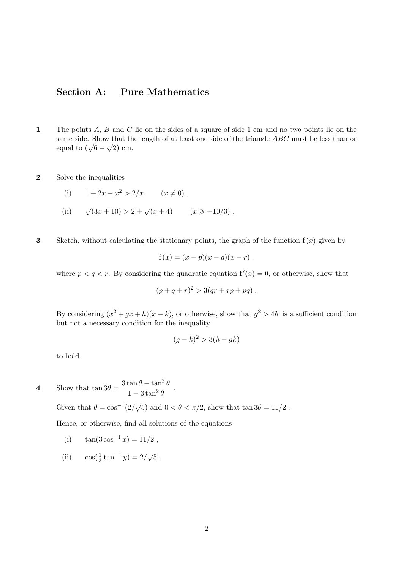## Section A: Pure Mathematics

- 1 The points A, B and C lie on the sides of a square of side 1 cm and no two points lie on the same side. Show that the length of at least one side of the triangle  $ABC$  must be less than or same side. Show that the equal to  $(\sqrt{6} - \sqrt{2})$  cm.
- 2 Solve the inequalities

(i) 
$$
1 + 2x - x^2 > 2/x
$$
  $(x \neq 0)$ ,

- $(ii)$  $(3x+10) > 2 + \sqrt{x+4}$   $(x \ge -10/3)$ .
- 3 Sketch, without calculating the stationary points, the graph of the function  $f(x)$  given by

$$
f(x) = (x - p)(x - q)(x - r)
$$
,

where  $p < q < r$ . By considering the quadratic equation  $f'(x) = 0$ , or otherwise, show that

$$
(p+q+r)^2 > 3(qr+rp+pq) .
$$

By considering  $(x^2 + gx + h)(x - k)$ , or otherwise, show that  $g^2 > 4h$  is a sufficient condition but not a necessary condition for the inequality

$$
(g-k)^2 > 3(h-gk)
$$

to hold.

4 Show that  $\tan 3\theta = \frac{3\tan\theta - \tan^3\theta}{1-\theta + \theta^2}$  $\frac{\tan \theta}{1 - 3 \tan^2 \theta}$ .

Given that  $\theta = \cos^{-1}(2/\sqrt{5})$  and  $0 < \theta < \pi/2$ , show that  $\tan 3\theta = 11/2$ .

Hence, or otherwise, find all solutions of the equations

- (i)  $\tan(3\cos^{-1} x) = 11/2$ ,
- (ii)  $\cos(\frac{1}{3} \tan^{-1} y) = 2/\sqrt{5}$ .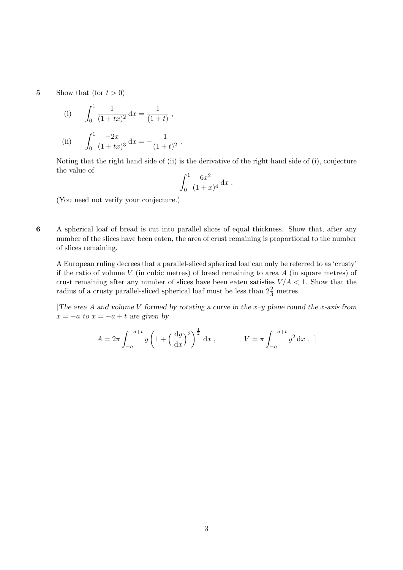5 Show that (for  $t > 0$ )

(i) 
$$
\int_0^1 \frac{1}{(1+tx)^2} dx = \frac{1}{(1+t)},
$$
  
\n(ii) 
$$
\int_0^1 \frac{-2x}{(1+tx)^3} dx = -\frac{1}{(1+t)^2}.
$$

Noting that the right hand side of (ii) is the derivative of the right hand side of (i), conjecture the value of

$$
\int_0^1 \frac{6x^2}{(1+x)^4} \, \mathrm{d}x \; .
$$

(You need not verify your conjecture.)

6 A spherical loaf of bread is cut into parallel slices of equal thickness. Show that, after any number of the slices have been eaten, the area of crust remaining is proportional to the number of slices remaining.

A European ruling decrees that a parallel-sliced spherical loaf can only be referred to as 'crusty' if the ratio of volume  $V$  (in cubic metres) of bread remaining to area  $A$  (in square metres) of crust remaining after any number of slices have been eaten satisfies  $V/A < 1$ . Show that the radius of a crusty parallel-sliced spherical loaf must be less than  $2\frac{2}{3}$  metres.

[The area A and volume V formed by rotating a curve in the  $x-y$  plane round the x-axis from  $x = -a$  to  $x = -a + t$  are given by

$$
A = 2\pi \int_{-a}^{-a+t} y \left( 1 + \left(\frac{dy}{dx}\right)^2 \right)^{\frac{1}{2}} dx , \qquad V = \pi \int_{-a}^{-a+t} y^2 dx .
$$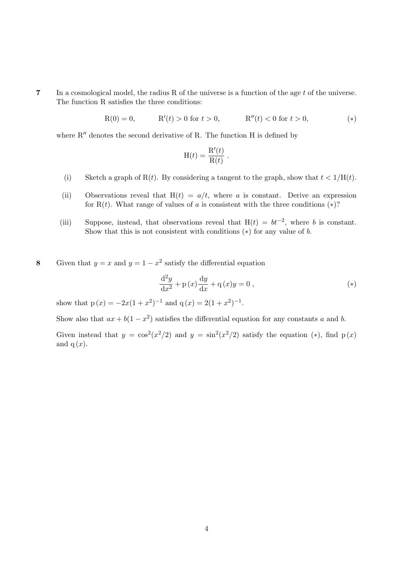7 In a cosmological model, the radius R of the universe is a function of the age t of the universe. The function R satisfies the three conditions:

> $R(0) = 0,$   $R'(t) > 0$  for  $t > 0,$  $R''(t) < 0$  for  $t > 0$ , (\*)

where  $R''$  denotes the second derivative of R. The function H is defined by

$$
H(t) = \frac{R'(t)}{R(t)}.
$$

- (i) Sketch a graph of R(t). By considering a tangent to the graph, show that  $t < 1/H(t)$ .
- (ii) Observations reveal that  $H(t) = a/t$ , where a is constant. Derive an expression for R(t). What range of values of a is consistent with the three conditions  $(*)$ ?
- (iii) Suppose, instead, that observations reveal that  $H(t) = bt^{-2}$ , where b is constant. Show that this is not consistent with conditions  $(*)$  for any value of b.

8 Given that  $y = x$  and  $y = 1 - x^2$  satisfy the differential equation

$$
\frac{\mathrm{d}^2 y}{\mathrm{d}x^2} + \mathbf{p}(x)\frac{\mathrm{d}y}{\mathrm{d}x} + \mathbf{q}(x)y = 0 ,
$$
\n<sup>(\*)</sup>

show that  $p(x) = -2x(1+x^2)^{-1}$  and  $q(x) = 2(1+x^2)^{-1}$ .

Show also that  $ax + b(1 - x^2)$  satisfies the differential equation for any constants a and b.

Given instead that  $y = \cos^2(x^2/2)$  and  $y = \sin^2(x^2/2)$  satisfy the equation (\*), find p(x) and  $q(x)$ .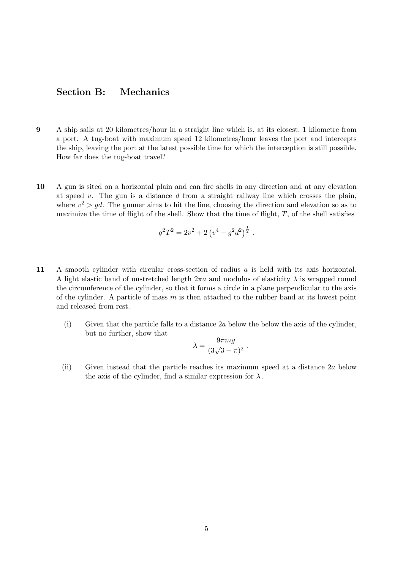## Section B: Mechanics

- 9 A ship sails at 20 kilometres/hour in a straight line which is, at its closest, 1 kilometre from a port. A tug-boat with maximum speed 12 kilometres/hour leaves the port and intercepts the ship, leaving the port at the latest possible time for which the interception is still possible. How far does the tug-boat travel?
- 10 A gun is sited on a horizontal plain and can fire shells in any direction and at any elevation at speed  $v$ . The gun is a distance  $d$  from a straight railway line which crosses the plain, where  $v^2 > gd$ . The gunner aims to hit the line, choosing the direction and elevation so as to maximize the time of flight of the shell. Show that the time of flight,  $T$ , of the shell satisfies

$$
g^2T^2 = 2v^2 + 2\left(v^4 - g^2d^2\right)^{\frac{1}{2}}.
$$

- 11 A smooth cylinder with circular cross-section of radius a is held with its axis horizontal. A light elastic band of unstretched length  $2\pi a$  and modulus of elasticity  $\lambda$  is wrapped round the circumference of the cylinder, so that it forms a circle in a plane perpendicular to the axis of the cylinder. A particle of mass  $m$  is then attached to the rubber band at its lowest point and released from rest.
	- (i) Given that the particle falls to a distance 2a below the below the axis of the cylinder, but no further, show that

$$
\lambda = \frac{9\pi mg}{(3\sqrt{3} - \pi)^2} \; .
$$

(ii) Given instead that the particle reaches its maximum speed at a distance 2a below the axis of the cylinder, find a similar expression for  $\lambda$ .